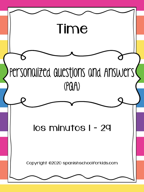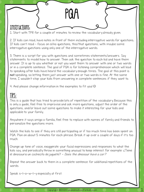### **Instructions:**

1. Start with TPR for a couple of minutes to review the vocabulary already given.

2. If kids can read, have notes in front of them including interrogative words for questions, If kids can't read - focus on si/no questions, this/that questions, with maybe some interrogative questions using only one of the interrogative words.

3. There is a script for you with questions and sometimes statements/answers. Say statements to model how to answer. Then ask the question to each kid and have them answer. It is up to you whether or not you want them to answer with one or two words or in a complete sentence. The goal of PQA is for listening comprehension which will lead to speaking after kids have heard the vocabulary enough times. The goal at this point is not speaking, so letting them just answer with one or two words is fine. At the same time, I wouldn't stop your kids from answering in complete sentences if they want to.

4. And please change information in the examples to fit you!  $\odot$ 

# **TiPS:**

This is a quide that has tried to provide lots of repetition of the vocabulary Because this is only a guide, feel free to improvise and ask more questions, adjust the order of the questions, and/or leave out some questions to make it interesting for your kids and applicable to your family.

Anywhere it says amigo o familia, feel free to replace with names of family and friends to personalize the questions more.

Watch the kids to see if they are still participating or if too much time has been spent on PQA. Plan on about 5 minutes for each phrase. Break it up over a couple of days if it's too much.

Change up tone of voice, exaggerate your facial expressions and responses to what the kids say, and periodically throw in something unusual to keep interest. For example: ¿Tiene el dinosaurio un cochecito de juguete? - Does the dinosaur have a car?

Repeat the answer back to them in a complete sentence for additional repetitions of the words.

Speak s-I-o-w-I-y especially at first.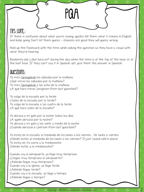## **TIPS CONT:**

If there is confusion about what you're saying, quickly tell them what it means in English and keep going. Don't let them guess - chances are good they will guess wrong

Hold up the flashcard with the time while asking the question so they have a visual with what they're hearing.

Randomly ask *i Qué hora es*? during the day when the time is at the top of the hour or at the half hour. If they can't say it in Spanish yet, give them the answer in Spanish.

## **QUESTIONS:**

Yo miro Spongebob los sábados por la mañana. ¿Qué miras los sábados por la mañana? Yo miro Spongebob a las ocho de la mañana. ¿A qué hora miras (program from last question)?

Yo salgo de la escuela por la tarde. ¿Sales de la escuela por la tarde? Yo salgo de la escuela a las cuatro de la tarde. ¿A qué hora sales de la escuela?

Yo abrazo a mi gato por la noche todos los días. ¿A quién abrazas por la noche? Yo abrazo a mi gato a las siete y media de la noche. ¿Cuándo abrazas a (person from last question)?

Yo estoy en la escuela al mediodía de los lunes a los viernes.... De lunes a viernes ¿Dónde estás al mediodía de los lunes a los viernes? It just sound odd in plural Yo estoy en mi cama a la medianoche. ¿Dónde estás a la medianoche?

Cuando voy al aeropuerto, yo llego muy temprano. ¿Llegas muy temprano al aeropuerto? ¿Adónde llegas muy temprano? Cuando voy a la iglesia, yo llego tarde. ¿Adónde llegas tarde? Cuando voy a la escuela, yo llego a tiempo. ¿Adónde llegas a tiempo?